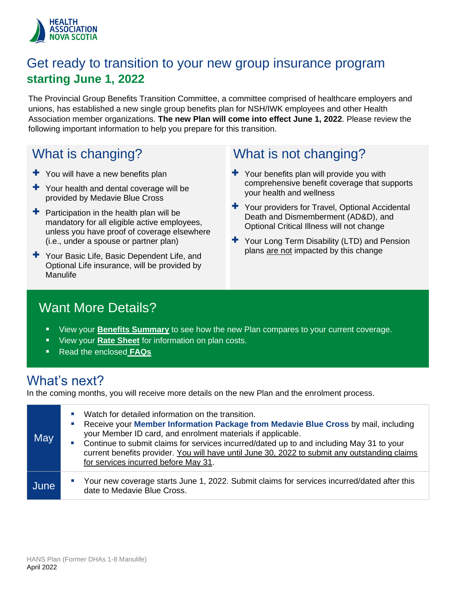

### Get ready to transition to your new group insurance program **starting June 1, 2022**

The Provincial Group Benefits Transition Committee, a committee comprised of healthcare employers and unions, has established a new single group benefits plan for NSH/IWK employees and other Health Association member organizations. **The new Plan will come into effect June 1, 2022**. Please review the following important information to help you prepare for this transition.

# What is changing?

- $+$  You will have a new benefits plan
- + Your health and dental coverage will be provided by Medavie Blue Cross
- $\pm$  Participation in the health plan will be mandatory for all eligible active employees, unless you have proof of coverage elsewhere (i.e., under a spouse or partner plan)
- + Your Basic Life, Basic Dependent Life, and Optional Life insurance, will be provided by Manulife

# What is not changing?

- $+$  Your benefits plan will provide you with comprehensive benefit coverage that supports your health and wellness
- + Your providers for Travel, Optional Accidental Death and Dismemberment (AD&D), and Optional Critical Illness will not change
- + Your Long Term Disability (LTD) and Pension plans are not impacted by this change

### Want More Details?

- View your **[Benefits Summary](#page-2-0)** to see how the new Plan compares to your current coverage.
- View your **[Rate Sheet](#page-8-0)** for information on plan costs.
- Read the enclosed **[FAQs](#page-1-0)**

### What's next?

In the coming months, you will receive more details on the new Plan and the enrolment process.

| May  | Watch for detailed information on the transition.<br>×.<br>Receive your Member Information Package from Medavie Blue Cross by mail, including<br>×,<br>your Member ID card, and enrolment materials if applicable.<br>Continue to submit claims for services incurred/dated up to and including May 31 to your<br><b>Contract</b><br>current benefits provider. You will have until June 30, 2022 to submit any outstanding claims<br>for services incurred before May 31. |
|------|----------------------------------------------------------------------------------------------------------------------------------------------------------------------------------------------------------------------------------------------------------------------------------------------------------------------------------------------------------------------------------------------------------------------------------------------------------------------------|
| June | Your new coverage starts June 1, 2022. Submit claims for services incurred/dated after this<br>$\mathcal{L}_{\mathcal{A}}$<br>date to Medavie Blue Cross.                                                                                                                                                                                                                                                                                                                  |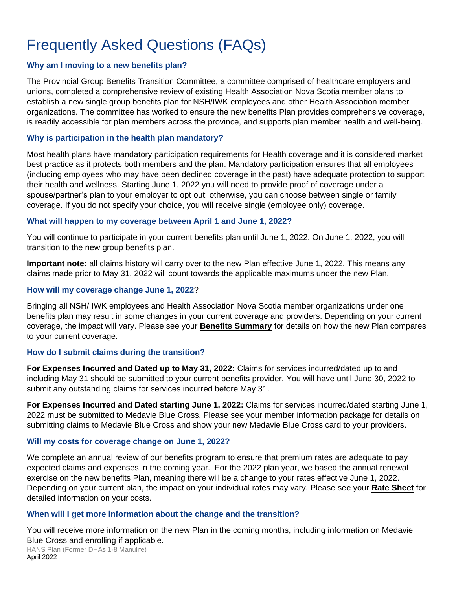# <span id="page-1-0"></span>Frequently Asked Questions (FAQs)

### **Why am I moving to a new benefits plan?**

The Provincial Group Benefits Transition Committee, a committee comprised of healthcare employers and unions, completed a comprehensive review of existing Health Association Nova Scotia member plans to establish a new single group benefits plan for NSH/IWK employees and other Health Association member organizations. The committee has worked to ensure the new benefits Plan provides comprehensive coverage, is readily accessible for plan members across the province, and supports plan member health and well-being.

#### **Why is participation in the health plan mandatory?**

Most health plans have mandatory participation requirements for Health coverage and it is considered market best practice as it protects both members and the plan. Mandatory participation ensures that all employees (including employees who may have been declined coverage in the past) have adequate protection to support their health and wellness. Starting June 1, 2022 you will need to provide proof of coverage under a spouse/partner's plan to your employer to opt out; otherwise, you can choose between single or family coverage. If you do not specify your choice, you will receive single (employee only) coverage.

#### **What will happen to my coverage between April 1 and June 1, 2022?**

You will continue to participate in your current benefits plan until June 1, 2022. On June 1, 2022, you will transition to the new group benefits plan.

**Important note:** all claims history will carry over to the new Plan effective June 1, 2022. This means any claims made prior to May 31, 2022 will count towards the applicable maximums under the new Plan.

### **How will my coverage change June 1, 2022**?

Bringing all NSH/ IWK employees and Health Association Nova Scotia member organizations under one benefits plan may result in some changes in your current coverage and providers. Depending on your current coverage, the impact will vary. Please see your **B[enefits Summa](#page-2-0)ry** for details on how the new Plan compares to your current coverage.

### **How do I submit claims during the transition?**

**For Expenses Incurred and Dated up to May 31, 2022:** Claims for services incurred/dated up to and including May 31 should be submitted to your current benefits provider. You will have until June 30, 2022 to submit any outstanding claims for services incurred before May 31.

**For Expenses Incurred and Dated starting June 1, 2022:** Claims for services incurred/dated starting June 1, 2022 must be submitted to Medavie Blue Cross. Please see your member information package for details on submitting claims to Medavie Blue Cross and show your new Medavie Blue Cross card to your providers.

### **Will my costs for coverage change on June 1, 2022?**

We complete an annual review of our benefits program to ensure that premium rates are adequate to pay expected claims and expenses in the coming year. For the 2022 plan year, we based the annual renewal exercise on the new benefits Plan, meaning there will be a change to your rates effective June 1, 2022. Depending on your current plan, the impact on your individual rates may vary. Please see your **[Rate Sheet](#page-8-0)** for detailed information on your costs.

### **When will I get more information about the change and the transition?**

You will receive more information on the new Plan in the coming months, including information on Medavie Blue Cross and enrolling if applicable.

HANS Plan (Former DHAs 1-8 Manulife) April 2022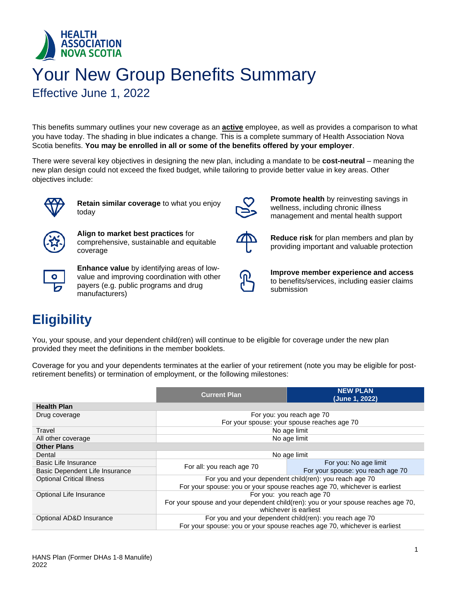<span id="page-2-0"></span>

# Your New Group Benefits Summary

Effective June 1, 2022

This benefits summary outlines your new coverage as an **active** employee, as well as provides a comparison to what you have today. The shading in blue indicates a change. This is a complete summary of Health Association Nova Scotia benefits. **You may be enrolled in all or some of the benefits offered by your employer**.

There were several key objectives in designing the new plan, including a mandate to be **cost-neutral** – meaning the new plan design could not exceed the fixed budget, while tailoring to provide better value in key areas. Other objectives include:



**Retain similar coverage** to what you enjoy today



**Align to market best practices** for comprehensive, sustainable and equitable coverage



**Enhance value** by identifying areas of lowvalue and improving coordination with other payers (e.g. public programs and drug manufacturers)



**Promote health** by reinvesting savings in wellness, including chronic illness management and mental health support



**Reduce risk** for plan members and plan by providing important and valuable protection



**Improve member experience and access** to benefits/services, including easier claims submission

# **Eligibility**

You, your spouse, and your dependent child(ren) will continue to be eligible for coverage under the new plan provided they meet the definitions in the member booklets.

Coverage for you and your dependents terminates at the earlier of your retirement (note you may be eligible for postretirement benefits) or termination of employment, or the following milestones:

|                                  | <b>NEW PLAN</b><br><b>Current Plan</b><br>(June 1, 2022)                          |                                                         |  |
|----------------------------------|-----------------------------------------------------------------------------------|---------------------------------------------------------|--|
| <b>Health Plan</b>               |                                                                                   |                                                         |  |
| Drug coverage                    |                                                                                   | For you: you reach age 70                               |  |
|                                  |                                                                                   | For your spouse: your spouse reaches age 70             |  |
| Travel                           |                                                                                   | No age limit                                            |  |
| All other coverage               |                                                                                   | No age limit                                            |  |
| <b>Other Plans</b>               |                                                                                   |                                                         |  |
| Dental                           |                                                                                   | No age limit                                            |  |
| <b>Basic Life Insurance</b>      |                                                                                   | For you: No age limit                                   |  |
| Basic Dependent Life Insurance   | For all: you reach age 70                                                         | For your spouse: you reach age 70                       |  |
| <b>Optional Critical Illness</b> | For you and your dependent child(ren): you reach age 70                           |                                                         |  |
|                                  | For your spouse: you or your spouse reaches age 70, whichever is earliest         |                                                         |  |
| Optional Life Insurance          |                                                                                   | For you: you reach age 70                               |  |
|                                  | For your spouse and your dependent child(ren): you or your spouse reaches age 70, |                                                         |  |
|                                  | whichever is earliest                                                             |                                                         |  |
| Optional AD&D Insurance          |                                                                                   | For you and your dependent child(ren): you reach age 70 |  |
|                                  | For your spouse: you or your spouse reaches age 70, whichever is earliest         |                                                         |  |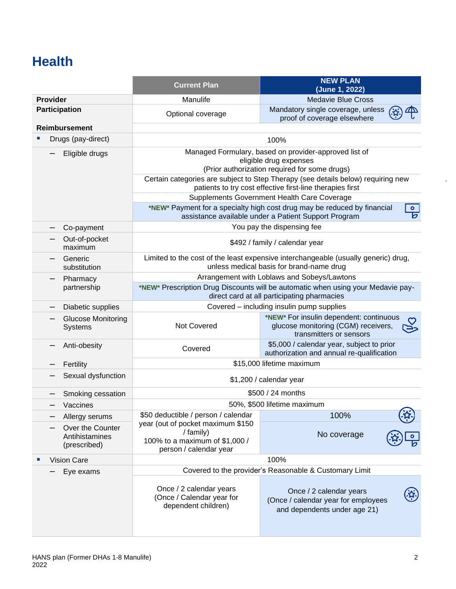# **Health**

|                      |                                                    | <b>Current Plan</b>                                                                                                             | <b>NEW PLAN</b><br>(June 1, 2022)                                                                                                                  |  |
|----------------------|----------------------------------------------------|---------------------------------------------------------------------------------------------------------------------------------|----------------------------------------------------------------------------------------------------------------------------------------------------|--|
| <b>Provider</b>      |                                                    | Manulife                                                                                                                        | <b>Medavie Blue Cross</b>                                                                                                                          |  |
| <b>Participation</b> |                                                    | Optional coverage                                                                                                               | Mandatory single coverage, unless<br>proof of coverage elsewhere                                                                                   |  |
|                      | <b>Reimbursement</b>                               |                                                                                                                                 |                                                                                                                                                    |  |
|                      | Drugs (pay-direct)                                 |                                                                                                                                 | 100%                                                                                                                                               |  |
|                      | Eligible drugs                                     |                                                                                                                                 | Managed Formulary, based on provider-approved list of<br>eligible drug expenses<br>(Prior authorization required for some drugs)                   |  |
|                      |                                                    |                                                                                                                                 | Certain categories are subject to Step Therapy (see details below) requiring new<br>patients to try cost effective first-line therapies first      |  |
|                      |                                                    |                                                                                                                                 | Supplements Government Health Care Coverage                                                                                                        |  |
|                      |                                                    |                                                                                                                                 | *NEW* Payment for a specialty high cost drug may be reduced by financial<br>$\bullet$<br>চ<br>assistance available under a Patient Support Program |  |
|                      | Co-payment                                         |                                                                                                                                 | You pay the dispensing fee                                                                                                                         |  |
|                      | Out-of-pocket<br>maximum                           |                                                                                                                                 | \$492 / family / calendar year                                                                                                                     |  |
|                      | Generic<br>substitution                            | Limited to the cost of the least expensive interchangeable (usually generic) drug,<br>unless medical basis for brand-name drug  |                                                                                                                                                    |  |
| Pharmacy             |                                                    | Arrangement with Loblaws and Sobeys/Lawtons                                                                                     |                                                                                                                                                    |  |
|                      | partnership                                        | *NEW* Prescription Drug Discounts will be automatic when using your Medavie pay-<br>direct card at all participating pharmacies |                                                                                                                                                    |  |
|                      | Diabetic supplies                                  | Covered - including insulin pump supplies                                                                                       |                                                                                                                                                    |  |
|                      | <b>Glucose Monitoring</b><br>Systems               | *NEW* For insulin dependent: continuous<br>Not Covered<br>glucose monitoring (CGM) receivers,<br>ح∈<br>transmitters or sensors  |                                                                                                                                                    |  |
|                      | Anti-obesity                                       | Covered                                                                                                                         | \$5,000 / calendar year, subject to prior<br>authorization and annual re-qualification                                                             |  |
|                      | Fertility                                          |                                                                                                                                 | \$15,000 lifetime maximum                                                                                                                          |  |
|                      | Sexual dysfunction                                 |                                                                                                                                 | \$1,200 / calendar year                                                                                                                            |  |
|                      | Smoking cessation                                  |                                                                                                                                 | \$500 / 24 months                                                                                                                                  |  |
|                      | Vaccines                                           |                                                                                                                                 | 50%, \$500 lifetime maximum                                                                                                                        |  |
|                      | Allergy serums                                     | \$50 deductible / person / calendar                                                                                             | 100%                                                                                                                                               |  |
|                      | Over the Counter<br>Antihistamines<br>(prescribed) | year (out of pocket maximum \$150<br>/ family)<br>100% to a maximum of \$1,000 /<br>person / calendar year                      | No coverage                                                                                                                                        |  |
|                      | <b>Vision Care</b>                                 | 100%                                                                                                                            |                                                                                                                                                    |  |
|                      | Eye exams                                          | Covered to the provider's Reasonable & Customary Limit                                                                          |                                                                                                                                                    |  |
|                      |                                                    | Once / 2 calendar years<br>(Once / Calendar year for<br>dependent children)                                                     | Once / 2 calendar years<br>(Once / calendar year for employees<br>and dependents under age 21)                                                     |  |

.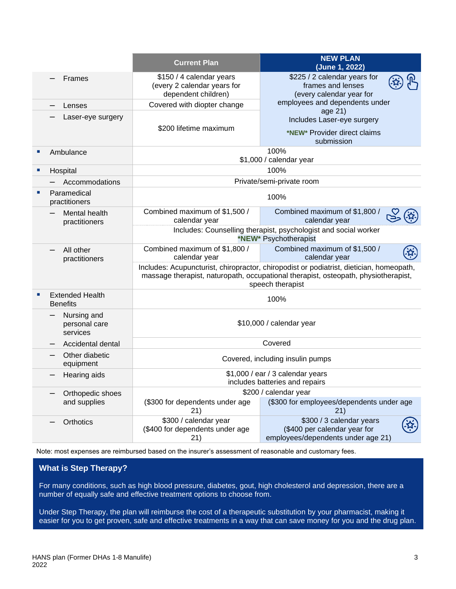|                             |                                           | <b>Current Plan</b>                                                                                                                                                                               | <b>NEW PLAN</b><br>(June 1, 2022)                                                              |  |
|-----------------------------|-------------------------------------------|---------------------------------------------------------------------------------------------------------------------------------------------------------------------------------------------------|------------------------------------------------------------------------------------------------|--|
|                             | Frames                                    | \$150 / 4 calendar years<br>(every 2 calendar years for<br>dependent children)                                                                                                                    | \$225 / 2 calendar years for<br>frames and lenses<br>(every calendar year for                  |  |
|                             | Lenses                                    | Covered with diopter change                                                                                                                                                                       | employees and dependents under                                                                 |  |
|                             | Laser-eye surgery                         | \$200 lifetime maximum                                                                                                                                                                            | age 21)<br>Includes Laser-eye surgery<br>*NEW* Provider direct claims<br>submission            |  |
| $\mathcal{L}_{\mathcal{A}}$ | Ambulance                                 |                                                                                                                                                                                                   | 100%<br>\$1,000 / calendar year                                                                |  |
| ш                           | Hospital                                  |                                                                                                                                                                                                   | 100%                                                                                           |  |
|                             | Accommodations                            |                                                                                                                                                                                                   | Private/semi-private room                                                                      |  |
|                             | Paramedical<br>practitioners              |                                                                                                                                                                                                   | 100%                                                                                           |  |
|                             | Mental health<br>practitioners            | Combined maximum of \$1,500 /<br>calendar year                                                                                                                                                    | Combined maximum of \$1,800 /<br>calendar year                                                 |  |
|                             |                                           | Includes: Counselling therapist, psychologist and social worker<br>*NEW* Psychotherapist                                                                                                          |                                                                                                |  |
|                             | All other<br>practitioners                | Combined maximum of \$1,800 /<br>calendar year                                                                                                                                                    | Combined maximum of \$1,500 /<br>calendar year                                                 |  |
|                             |                                           | Includes: Acupuncturist, chiropractor, chiropodist or podiatrist, dietician, homeopath,<br>massage therapist, naturopath, occupational therapist, osteopath, physiotherapist,<br>speech therapist |                                                                                                |  |
| п                           | <b>Extended Health</b><br><b>Benefits</b> | 100%                                                                                                                                                                                              |                                                                                                |  |
|                             | Nursing and<br>personal care<br>services  | \$10,000 / calendar year                                                                                                                                                                          |                                                                                                |  |
|                             | Accidental dental                         | Covered                                                                                                                                                                                           |                                                                                                |  |
|                             | Other diabetic<br>equipment               | Covered, including insulin pumps                                                                                                                                                                  |                                                                                                |  |
|                             | Hearing aids                              | \$1,000 / ear / 3 calendar years<br>includes batteries and repairs                                                                                                                                |                                                                                                |  |
|                             | Orthopedic shoes                          | \$200 / calendar year                                                                                                                                                                             |                                                                                                |  |
|                             | and supplies                              | (\$300 for dependents under age<br>21)                                                                                                                                                            | (\$300 for employees/dependents under age<br>21)                                               |  |
|                             | Orthotics                                 | \$300 / calendar year<br>(\$400 for dependents under age<br>21)                                                                                                                                   | \$300 / 3 calendar years<br>(\$400 per calendar year for<br>employees/dependents under age 21) |  |

Note: most expenses are reimbursed based on the insurer's assessment of reasonable and customary fees.

### **What is Step Therapy?**

For many conditions, such as high blood pressure, diabetes, gout, high cholesterol and depression, there are a number of equally safe and effective treatment options to choose from.

Under Step Therapy, the plan will reimburse the cost of a therapeutic substitution by your pharmacist, making it easier for you to get proven, safe and effective treatments in a way that can save money for you and the drug plan.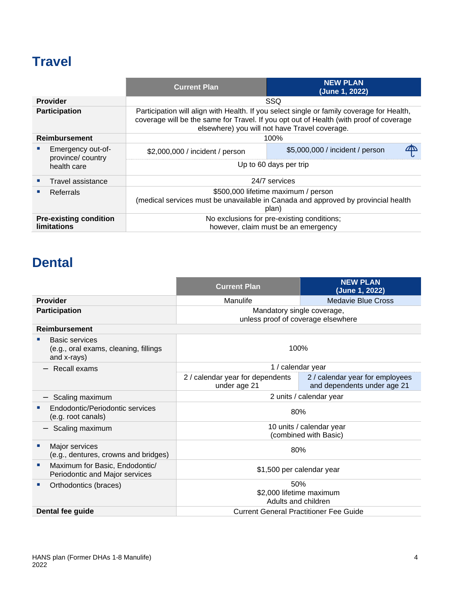# **Travel**

|                                                     |                                                      | <b>Current Plan</b>                                                                                                                                                                                                                  | <b>NEW PLAN</b><br>(June 1, 2022) |  |
|-----------------------------------------------------|------------------------------------------------------|--------------------------------------------------------------------------------------------------------------------------------------------------------------------------------------------------------------------------------------|-----------------------------------|--|
|                                                     | <b>Provider</b>                                      | <b>SSQ</b>                                                                                                                                                                                                                           |                                   |  |
| <b>Participation</b>                                |                                                      | Participation will align with Health. If you select single or family coverage for Health,<br>coverage will be the same for Travel. If you opt out of Health (with proof of coverage<br>elsewhere) you will not have Travel coverage. |                                   |  |
| <b>Reimbursement</b>                                |                                                      | 100%                                                                                                                                                                                                                                 |                                   |  |
|                                                     | Emergency out-of-<br>province/country<br>health care | \$2,000,000 / incident / person                                                                                                                                                                                                      | \$5,000,000 / incident / person   |  |
|                                                     |                                                      | Up to 60 days per trip                                                                                                                                                                                                               |                                   |  |
|                                                     | Travel assistance                                    | 24/7 services                                                                                                                                                                                                                        |                                   |  |
|                                                     | Referrals                                            | \$500,000 lifetime maximum / person<br>(medical services must be unavailable in Canada and approved by provincial health<br>plan)                                                                                                    |                                   |  |
| <b>Pre-existing condition</b><br><b>limitations</b> |                                                      | No exclusions for pre-existing conditions;<br>however, claim must be an emergency                                                                                                                                                    |                                   |  |

# **Dental**

|                                                                        | <b>Current Plan</b>                                              | <b>NEW PLAN</b><br>(June 1, 2022)                              |  |
|------------------------------------------------------------------------|------------------------------------------------------------------|----------------------------------------------------------------|--|
| <b>Provider</b>                                                        | Manulife                                                         | <b>Medavie Blue Cross</b>                                      |  |
| <b>Participation</b>                                                   | Mandatory single coverage,<br>unless proof of coverage elsewhere |                                                                |  |
| <b>Reimbursement</b>                                                   |                                                                  |                                                                |  |
| Basic services<br>(e.g., oral exams, cleaning, fillings<br>and x-rays) | 100%                                                             |                                                                |  |
| $-$ Recall exams                                                       | 1 / calendar year                                                |                                                                |  |
|                                                                        | 2 / calendar year for dependents<br>under age 21                 | 2 / calendar year for employees<br>and dependents under age 21 |  |
| Scaling maximum                                                        | 2 units / calendar year                                          |                                                                |  |
| Endodontic/Periodontic services<br>(e.g. root canals)                  | 80%                                                              |                                                                |  |
| Scaling maximum                                                        | 10 units / calendar year<br>(combined with Basic)                |                                                                |  |
| Major services<br>×<br>(e.g., dentures, crowns and bridges)            | 80%                                                              |                                                                |  |
| Maximum for Basic, Endodontic/<br>×<br>Periodontic and Major services  | \$1,500 per calendar year                                        |                                                                |  |
| Orthodontics (braces)<br>ш                                             | 50%                                                              |                                                                |  |
|                                                                        | \$2,000 lifetime maximum<br>Adults and children                  |                                                                |  |
| Dental fee guide                                                       | <b>Current General Practitioner Fee Guide</b>                    |                                                                |  |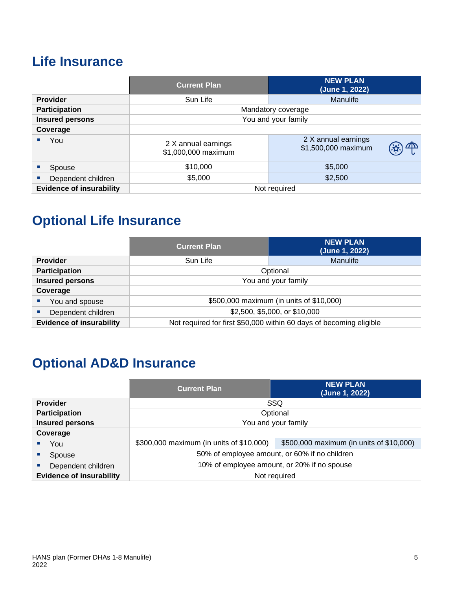# **Life Insurance**

|                                 | <b>Current Plan</b>                        | <b>NEW PLAN</b><br>(June 1, 2022)          |  |
|---------------------------------|--------------------------------------------|--------------------------------------------|--|
| <b>Provider</b>                 | Sun Life                                   | Manulife                                   |  |
| <b>Participation</b>            | Mandatory coverage                         |                                            |  |
| <b>Insured persons</b>          | You and your family                        |                                            |  |
| Coverage                        |                                            |                                            |  |
| You                             | 2 X annual earnings<br>\$1,000,000 maximum | 2 X annual earnings<br>\$1,500,000 maximum |  |
| Spouse                          | \$5,000<br>\$10,000                        |                                            |  |
| Dependent children              | \$2,500<br>\$5,000                         |                                            |  |
| <b>Evidence of insurability</b> |                                            | Not required                               |  |

# **Optional Life Insurance**

|                                 | <b>Current Plan</b>                                                 | <b>NEW PLAN</b><br>(June 1, 2022) |
|---------------------------------|---------------------------------------------------------------------|-----------------------------------|
| <b>Provider</b>                 | Sun Life                                                            | <b>Manulife</b>                   |
| Participation                   | Optional                                                            |                                   |
| <b>Insured persons</b>          | You and your family                                                 |                                   |
| Coverage                        |                                                                     |                                   |
| You and spouse                  | \$500,000 maximum (in units of \$10,000)                            |                                   |
| Dependent children              | \$2,500, \$5,000, or \$10,000                                       |                                   |
| <b>Evidence of insurability</b> | Not required for first \$50,000 within 60 days of becoming eligible |                                   |

# **Optional AD&D Insurance**

|                                 | <b>Current Plan</b>                                                                  | <b>NEW PLAN</b><br>(June 1, 2022) |  |
|---------------------------------|--------------------------------------------------------------------------------------|-----------------------------------|--|
| <b>Provider</b>                 | SSQ                                                                                  |                                   |  |
| Participation                   | Optional                                                                             |                                   |  |
| <b>Insured persons</b>          | You and your family                                                                  |                                   |  |
| Coverage                        |                                                                                      |                                   |  |
| You                             | \$500,000 maximum (in units of \$10,000)<br>\$300,000 maximum (in units of \$10,000) |                                   |  |
| Spouse                          | 50% of employee amount, or 60% if no children                                        |                                   |  |
| Dependent children              | 10% of employee amount, or 20% if no spouse                                          |                                   |  |
| <b>Evidence of insurability</b> | Not required                                                                         |                                   |  |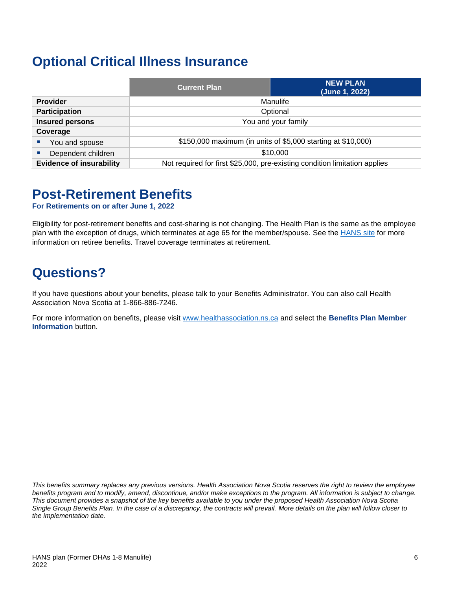### **Optional Critical Illness Insurance**

|                                 | <b>Current Plan</b>                                                        | <b>NEW PLAN</b><br>(June 1, 2022) |
|---------------------------------|----------------------------------------------------------------------------|-----------------------------------|
| <b>Provider</b>                 | Manulife                                                                   |                                   |
| <b>Participation</b>            | Optional                                                                   |                                   |
| <b>Insured persons</b>          | You and your family                                                        |                                   |
| Coverage                        |                                                                            |                                   |
| You and spouse                  | \$150,000 maximum (in units of \$5,000 starting at \$10,000)               |                                   |
| Dependent children              | \$10,000                                                                   |                                   |
| <b>Evidence of insurability</b> | Not required for first \$25,000, pre-existing condition limitation applies |                                   |

### **Post-Retirement Benefits**

**For Retirements on or after June 1, 2022**

Eligibility for post-retirement benefits and cost-sharing is not changing. The Health Plan is the same as the employee plan with the exception of drugs, which terminates at age 65 for the member/spouse. See the **HANS** site for more information on retiree benefits. Travel coverage terminates at retirement.

# **Questions?**

If you have questions about your benefits, please talk to your Benefits Administrator. You can also call Health Association Nova Scotia at 1-866-886-7246.

For more information on benefits, please visit [www.healthassociation.ns.ca](http://www.healthassociation.ns.ca/) and select the **Benefits Plan Member Information** button.

*This benefits summary replaces any previous versions. Health Association Nova Scotia reserves the right to review the employee benefits program and to modify, amend, discontinue, and/or make exceptions to the program. All information is subject to change. This document provides a snapshot of the key benefits available to you under the proposed Health Association Nova Scotia Single Group Benefits Plan. In the case of a discrepancy, the contracts will prevail. More details on the plan will follow closer to the implementation date.*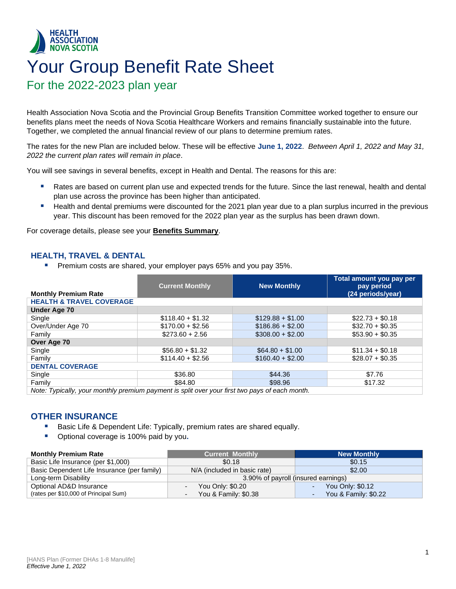### <span id="page-8-0"></span>**HEALTH ASSOCIATION NOVA SCOTIA** Your Group Benefit Rate Sheet For the 2022-2023 plan year

Health Association Nova Scotia and the Provincial Group Benefits Transition Committee worked together to ensure our benefits plans meet the needs of Nova Scotia Healthcare Workers and remains financially sustainable into the future. Together, we completed the annual financial review of our plans to determine premium rates.

The rates for the new Plan are included below. These will be effective **June 1, 2022**. *Between April 1, 2022 and May 31, 2022 the current plan rates will remain in place*.

You will see savings in several benefits, except in Health and Dental. The reasons for this are:

- Rates are based on current plan use and expected trends for the future. Since the last renewal, health and dental plan use across the province has been higher than anticipated.
- Health and dental premiums were discounted for the 2021 plan year due to a plan surplus incurred in the previous year. This discount has been removed for the 2022 plan year as the surplus has been drawn down.

For coverage details, please see your **Benefits Summary**.

### **HEALTH, TRAVEL & DENTAL**

Premium costs are shared, your employer pays 65% and you pay 35%.

|                                                                                                | <b>Current Monthly</b> | <b>New Monthly</b> | Total amount you pay per<br>pay period |
|------------------------------------------------------------------------------------------------|------------------------|--------------------|----------------------------------------|
| <b>Monthly Premium Rate</b>                                                                    |                        |                    | (24 periods/year)                      |
| <b>HEALTH &amp; TRAVEL COVERAGE</b>                                                            |                        |                    |                                        |
| <b>Under Age 70</b>                                                                            |                        |                    |                                        |
| Single                                                                                         | $$118.40 + $1.32$      | $$129.88 + $1.00$  | $$22.73 + $0.18$                       |
| Over/Under Age 70                                                                              | $$170.00 + $2.56$      | $$186.86 + $2.00$  | $$32.70 + $0.35$                       |
| Family                                                                                         | $$273.60 + 2.56$       | $$308.00 + $2.00$  | $$53.90 + $0.35$                       |
| Over Age 70                                                                                    |                        |                    |                                        |
| Single                                                                                         | $$56.80 + $1.32$       | $$64.80 + $1.00$   | $$11.34 + $0.18$                       |
| Family                                                                                         | $$114.40 + $2.56$      | $$160.40 + $2.00$  | $$28.07 + $0.35$                       |
| <b>DENTAL COVERAGE</b>                                                                         |                        |                    |                                        |
| Single                                                                                         | \$36.80                | \$44.36            | \$7.76                                 |
| Family                                                                                         | \$84.80                | \$98.96            | \$17.32                                |
| Note: Typically, your monthly premium payment is split over your first two pays of each month. |                        |                    |                                        |

### **OTHER INSURANCE**

- Basic Life & Dependent Life: Typically, premium rates are shared equally.
- Optional coverage is 100% paid by you.

| <b>Monthly Premium Rate</b>                 | <b>Current Monthly</b>                 | <b>New Monthly</b>   |
|---------------------------------------------|----------------------------------------|----------------------|
| Basic Life Insurance (per \$1,000)          | \$0.18                                 | \$0.15               |
| Basic Dependent Life Insurance (per family) | N/A (included in basic rate)<br>\$2.00 |                      |
| Long-term Disability                        | 3.90% of payroll (insured earnings)    |                      |
| Optional AD&D Insurance                     | You Only: \$0.20                       | You Only: \$0.12     |
| (rates per \$10,000 of Principal Sum)       | You & Family: \$0.38                   | You & Family: \$0.22 |